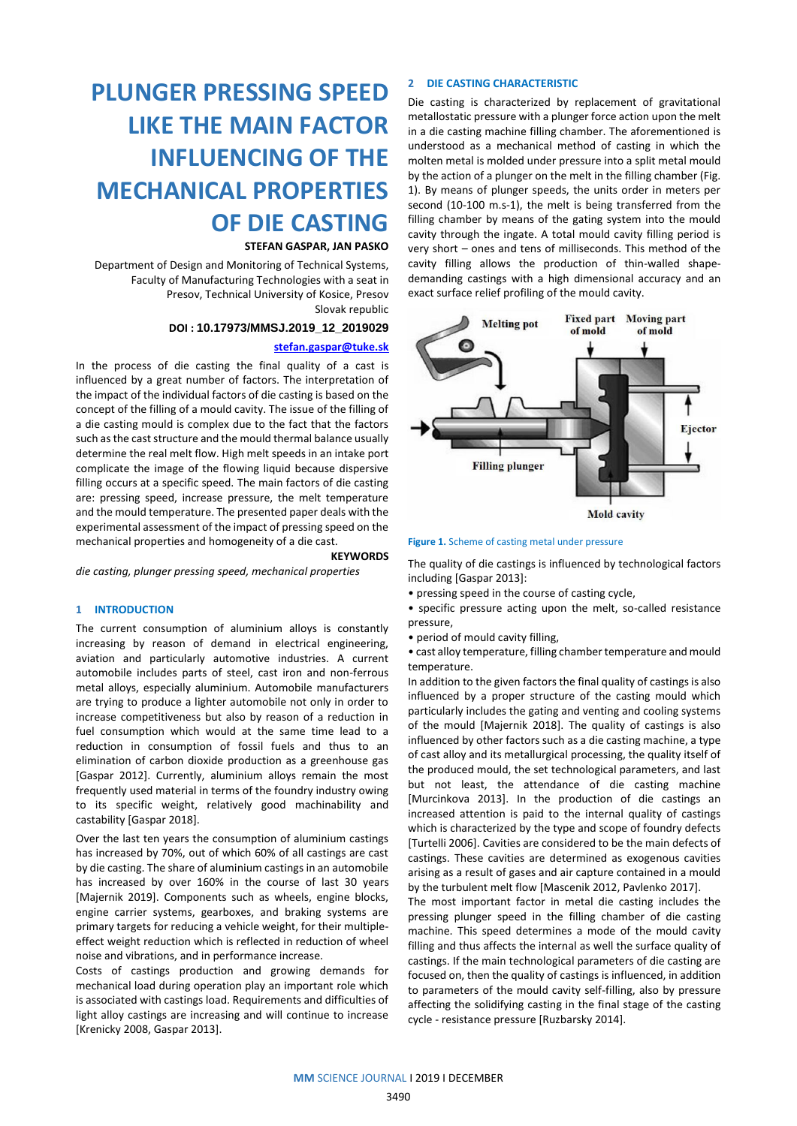# **PLUNGER PRESSING SPEED LIKE THE MAIN FACTOR INFLUENCING OF THE MECHANICAL PROPERTIES OF DIE CASTING**

## **STEFAN GASPAR, JAN PASKO**

Department of Design and Monitoring of Technical Systems, Faculty of Manufacturing Technologies with a seat in Presov, Technical University of Kosice, Presov Slovak republic

# **DOI : 10.17973/MMSJ.2019\_12\_2019029**

# **[stefan.gaspar@tuke.sk](mailto:stefan.gaspar@tuke.sk)**

In the process of die casting the final quality of a cast is influenced by a great number of factors. The interpretation of the impact of the individual factors of die casting is based on the concept of the filling of a mould cavity. The issue of the filling of a die casting mould is complex due to the fact that the factors such as the cast structure and the mould thermal balance usually determine the real melt flow. High melt speeds in an intake port complicate the image of the flowing liquid because dispersive filling occurs at a specific speed. The main factors of die casting are: pressing speed, increase pressure, the melt temperature and the mould temperature. The presented paper deals with the experimental assessment of the impact of pressing speed on the mechanical properties and homogeneity of a die cast.

#### **KEYWORDS**

*die casting, plunger pressing speed, mechanical properties*

## **1 INTRODUCTION**

The current consumption of aluminium alloys is constantly increasing by reason of demand in electrical engineering, aviation and particularly automotive industries. A current automobile includes parts of steel, cast iron and non-ferrous metal alloys, especially aluminium. Automobile manufacturers are trying to produce a lighter automobile not only in order to increase competitiveness but also by reason of a reduction in fuel consumption which would at the same time lead to a reduction in consumption of fossil fuels and thus to an elimination of carbon dioxide production as a greenhouse gas [Gaspar 2012]. Currently, aluminium alloys remain the most frequently used material in terms of the foundry industry owing to its specific weight, relatively good machinability and castability [Gaspar 2018].

Over the last ten years the consumption of aluminium castings has increased by 70%, out of which 60% of all castings are cast by die casting. The share of aluminium castings in an automobile has increased by over 160% in the course of last 30 years [Majernik 2019]. Components such as wheels, engine blocks, engine carrier systems, gearboxes, and braking systems are primary targets for reducing a vehicle weight, for their multipleeffect weight reduction which is reflected in reduction of wheel noise and vibrations, and in performance increase.

Costs of castings production and growing demands for mechanical load during operation play an important role which is associated with castings load. Requirements and difficulties of light alloy castings are increasing and will continue to increase [Krenicky 2008, Gaspar 2013].

## **2 DIE CASTING CHARACTERISTIC**

Die casting is characterized by replacement of gravitational metallostatic pressure with a plunger force action upon the melt in a die casting machine filling chamber. The aforementioned is understood as a mechanical method of casting in which the molten metal is molded under pressure into a split metal mould by the action of a plunger on the melt in the filling chamber (Fig. 1). By means of plunger speeds, the units order in meters per second (10-100 m.s-1), the melt is being transferred from the filling chamber by means of the gating system into the mould cavity through the ingate. A total mould cavity filling period is very short – ones and tens of milliseconds. This method of the cavity filling allows the production of thin-walled shapedemanding castings with a high dimensional accuracy and an exact surface relief profiling of the mould cavity.





The quality of die castings is influenced by technological factors including [Gaspar 2013]:

• pressing speed in the course of casting cycle,

• specific pressure acting upon the melt, so-called resistance pressure,

• period of mould cavity filling,

• cast alloy temperature, filling chamber temperature and mould temperature.

In addition to the given factors the final quality of castings is also influenced by a proper structure of the casting mould which particularly includes the gating and venting and cooling systems of the mould [Majernik 2018]. The quality of castings is also influenced by other factors such as a die casting machine, a type of cast alloy and its metallurgical processing, the quality itself of the produced mould, the set technological parameters, and last but not least, the attendance of die casting machine [Murcinkova 2013]. In the production of die castings an increased attention is paid to the internal quality of castings which is characterized by the type and scope of foundry defects [Turtelli 2006]. Cavities are considered to be the main defects of castings. These cavities are determined as exogenous cavities arising as a result of gases and air capture contained in a mould by the turbulent melt flow [Mascenik 2012, Pavlenko 2017].

The most important factor in metal die casting includes the pressing plunger speed in the filling chamber of die casting machine. This speed determines a mode of the mould cavity filling and thus affects the internal as well the surface quality of castings. If the main technological parameters of die casting are focused on, then the quality of castings is influenced, in addition to parameters of the mould cavity self-filling, also by pressure affecting the solidifying casting in the final stage of the casting cycle - resistance pressure [Ruzbarsky 2014].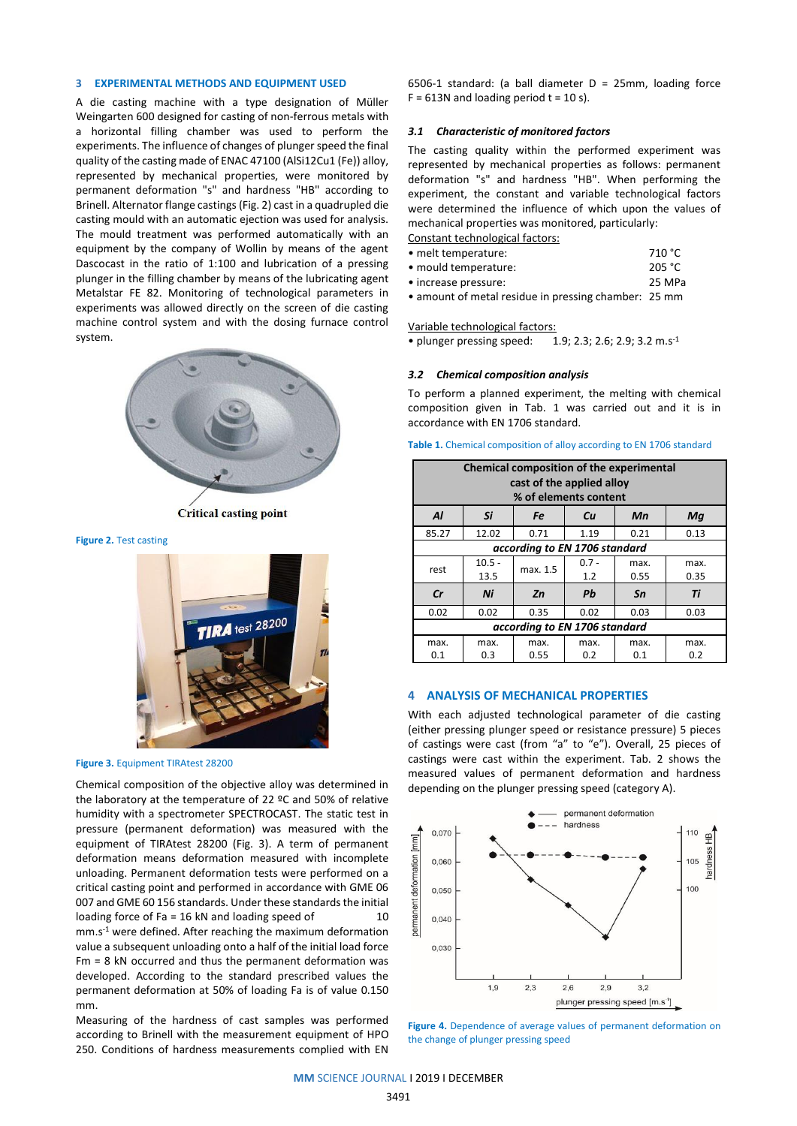## **3 EXPERIMENTAL METHODS AND EQUIPMENT USED**

A die casting machine with a type designation of Müller Weingarten 600 designed for casting of non-ferrous metals with a horizontal filling chamber was used to perform the experiments. The influence of changes of plunger speed the final quality of the casting made of ENAC 47100 (AlSi12Cu1 (Fe)) alloy, represented by mechanical properties, were monitored by permanent deformation "s" and hardness "HB" according to Brinell. Alternator flange castings (Fig. 2) cast in a quadrupled die casting mould with an automatic ejection was used for analysis. The mould treatment was performed automatically with an equipment by the company of Wollin by means of the agent Dascocast in the ratio of 1:100 and lubrication of a pressing plunger in the filling chamber by means of the lubricating agent Metalstar FE 82. Monitoring of technological parameters in experiments was allowed directly on the screen of die casting machine control system and with the dosing furnace control system.



**Critical casting point** 

**Figure 2. Test casting** 



**Figure 3. Equipment TIRAtest 28200** 

Chemical composition of the objective alloy was determined in the laboratory at the temperature of 22 ºC and 50% of relative humidity with a spectrometer SPECTROCAST. The static test in pressure (permanent deformation) was measured with the equipment of TIRAtest 28200 (Fig. 3). A term of permanent deformation means deformation measured with incomplete unloading. Permanent deformation tests were performed on a critical casting point and performed in accordance with GME 06 007 and GME 60 156 standards. Under these standards the initial loading force of Fa =  $16$  kN and loading speed of  $10$ mm.s-1 were defined. After reaching the maximum deformation value a subsequent unloading onto a half of the initial load force Fm = 8 kN occurred and thus the permanent deformation was developed. According to the standard prescribed values the permanent deformation at 50% of loading Fa is of value 0.150 mm.

Measuring of the hardness of cast samples was performed according to Brinell with the measurement equipment of HPO 250. Conditions of hardness measurements complied with EN

6506-1 standard: (a ball diameter D = 25mm, loading force  $F = 613N$  and loading period  $t = 10 s$ ).

## *3.1 Characteristic of monitored factors*

The casting quality within the performed experiment was represented by mechanical properties as follows: permanent deformation "s" and hardness "HB". When performing the experiment, the constant and variable technological factors were determined the influence of which upon the values of mechanical properties was monitored, particularly:

Constant technological factors:

• melt temperature: 710 °C

• mould temperature: 205 °C

• increase pressure: 25 MPa • amount of metal residue in pressing chamber: 25 mm

Variable technological factors:

• plunger pressing speed: 1.9; 2.3; 2.6; 2.9; 3.2 m.s-1

#### *3.2 Chemical composition analysis*

To perform a planned experiment, the melting with chemical composition given in Tab. 1 was carried out and it is in accordance with EN 1706 standard.

Table 1. Chemical composition of alloy according to EN 1706 standard

| <b>Chemical composition of the experimental</b><br>cast of the applied alloy<br>% of elements content |                  |              |                |              |              |  |  |  |  |  |
|-------------------------------------------------------------------------------------------------------|------------------|--------------|----------------|--------------|--------------|--|--|--|--|--|
| Al                                                                                                    | Si               | Fe<br>Cu     |                | Mn           | Mq           |  |  |  |  |  |
| 85.27                                                                                                 | 12.02            | 0.71         | 1.19           | 0.21         | 0.13         |  |  |  |  |  |
| according to EN 1706 standard                                                                         |                  |              |                |              |              |  |  |  |  |  |
| rest                                                                                                  | $10.5 -$<br>13.5 | max. 1.5     | $0.7 -$<br>1.2 | max.<br>0.55 | max.<br>0.35 |  |  |  |  |  |
| cr                                                                                                    | Ni               | Zn           | Pb             | Sn           | Ti           |  |  |  |  |  |
| 0.02                                                                                                  | 0.02             | 0.35         | 0.02           | 0.03         | 0.03         |  |  |  |  |  |
| according to EN 1706 standard                                                                         |                  |              |                |              |              |  |  |  |  |  |
| max.<br>0.1                                                                                           | max.<br>0.3      | max.<br>0.55 | max.<br>0.2    | max.<br>0.1  | max.<br>0.2  |  |  |  |  |  |

# **4 ANALYSIS OF MECHANICAL PROPERTIES**

With each adjusted technological parameter of die casting (either pressing plunger speed or resistance pressure) 5 pieces of castings were cast (from "a" to "e"). Overall, 25 pieces of castings were cast within the experiment. Tab. 2 shows the measured values of permanent deformation and hardness depending on the plunger pressing speed (category A).



**Figure 4.** Dependence of average values of permanent deformation on the change of plunger pressing speed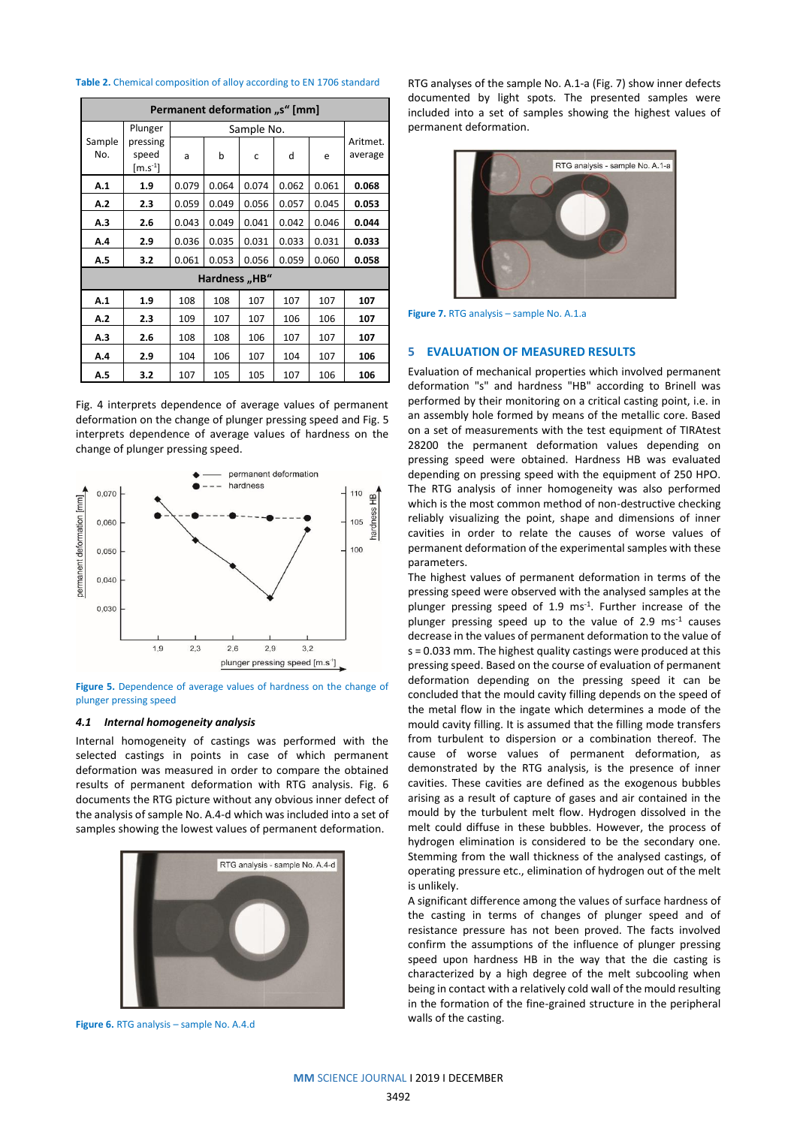## **Table 2.** Chemical composition of alloy according to EN 1706 standard

| Permanent deformation "s" [mm] |                                           |       |       |       |       |       |                     |  |  |  |
|--------------------------------|-------------------------------------------|-------|-------|-------|-------|-------|---------------------|--|--|--|
|                                | Plunger<br>pressing<br>speed<br>$[m.5-1]$ |       |       |       |       |       |                     |  |  |  |
| Sample<br>No.                  |                                           | a     | b     | C     | d     | e     | Aritmet.<br>average |  |  |  |
| A.1                            | 1.9                                       | 0.079 | 0.064 | 0.074 | 0.062 | 0.061 | 0.068               |  |  |  |
| A.2                            | 2.3                                       | 0.059 | 0.049 | 0.056 | 0.057 | 0.045 | 0.053               |  |  |  |
| A.3                            | 2.6                                       | 0.043 | 0.049 | 0.041 | 0.042 | 0.046 | 0.044               |  |  |  |
| A.4                            | 2.9                                       | 0.036 | 0.035 | 0.031 | 0.033 | 0.031 | 0.033               |  |  |  |
| A.5                            | 3.2                                       | 0.061 | 0.053 | 0.056 | 0.059 | 0.060 | 0.058               |  |  |  |
| Hardness "HB"                  |                                           |       |       |       |       |       |                     |  |  |  |
| A.1                            | 1.9                                       | 108   | 108   | 107   | 107   | 107   | 107                 |  |  |  |
| A.2                            | 2.3                                       | 109   | 107   | 107   | 106   | 106   | 107                 |  |  |  |
| A.3                            | 2.6                                       | 108   | 108   | 106   | 107   | 107   | 107                 |  |  |  |
| A.4                            | 2.9                                       | 104   | 106   | 107   | 104   | 107   | 106                 |  |  |  |
| A.5                            | 3.2                                       | 107   | 105   | 105   | 107   | 106   | 106                 |  |  |  |

Fig. 4 interprets dependence of average values of permanent deformation on the change of plunger pressing speed and Fig. 5 interprets dependence of average values of hardness on the change of plunger pressing speed.



**Figure 5.** Dependence of average values of hardness on the change of plunger pressing speed

### *4.1 Internal homogeneity analysis*

Internal homogeneity of castings was performed with the selected castings in points in case of which permanent deformation was measured in order to compare the obtained results of permanent deformation with RTG analysis. Fig. 6 documents the RTG picture without any obvious inner defect of the analysis of sample No. A.4-d which was included into a set of samples showing the lowest values of permanent deformation.



**Figure 6.** RTG analysis – sample No. A.4.d

RTG analyses of the sample No. A.1-a (Fig. 7) show inner defects documented by light spots. The presented samples were included into a set of samples showing the highest values of permanent deformation.



**Figure 7.** RTG analysis – sample No. A.1.a

## **5 EVALUATION OF MEASURED RESULTS**

Evaluation of mechanical properties which involved permanent deformation "s" and hardness "HB" according to Brinell was performed by their monitoring on a critical casting point, i.e. in an assembly hole formed by means of the metallic core. Based on a set of measurements with the test equipment of TIRAtest 28200 the permanent deformation values depending on pressing speed were obtained. Hardness HB was evaluated depending on pressing speed with the equipment of 250 HPO. The RTG analysis of inner homogeneity was also performed which is the most common method of non-destructive checking reliably visualizing the point, shape and dimensions of inner cavities in order to relate the causes of worse values of permanent deformation of the experimental samples with these parameters.

The highest values of permanent deformation in terms of the pressing speed were observed with the analysed samples at the plunger pressing speed of 1.9 ms<sup>-1</sup>. Further increase of the plunger pressing speed up to the value of 2.9 ms-1 causes decrease in the values of permanent deformation to the value of s = 0.033 mm. The highest quality castings were produced at this pressing speed. Based on the course of evaluation of permanent deformation depending on the pressing speed it can be concluded that the mould cavity filling depends on the speed of the metal flow in the ingate which determines a mode of the mould cavity filling. It is assumed that the filling mode transfers from turbulent to dispersion or a combination thereof. The cause of worse values of permanent deformation, as demonstrated by the RTG analysis, is the presence of inner cavities. These cavities are defined as the exogenous bubbles arising as a result of capture of gases and air contained in the mould by the turbulent melt flow. Hydrogen dissolved in the melt could diffuse in these bubbles. However, the process of hydrogen elimination is considered to be the secondary one. Stemming from the wall thickness of the analysed castings, of operating pressure etc., elimination of hydrogen out of the melt is unlikely.

A significant difference among the values of surface hardness of the casting in terms of changes of plunger speed and of resistance pressure has not been proved. The facts involved confirm the assumptions of the influence of plunger pressing speed upon hardness HB in the way that the die casting is characterized by a high degree of the melt subcooling when being in contact with a relatively cold wall of the mould resulting in the formation of the fine-grained structure in the peripheral walls of the casting.